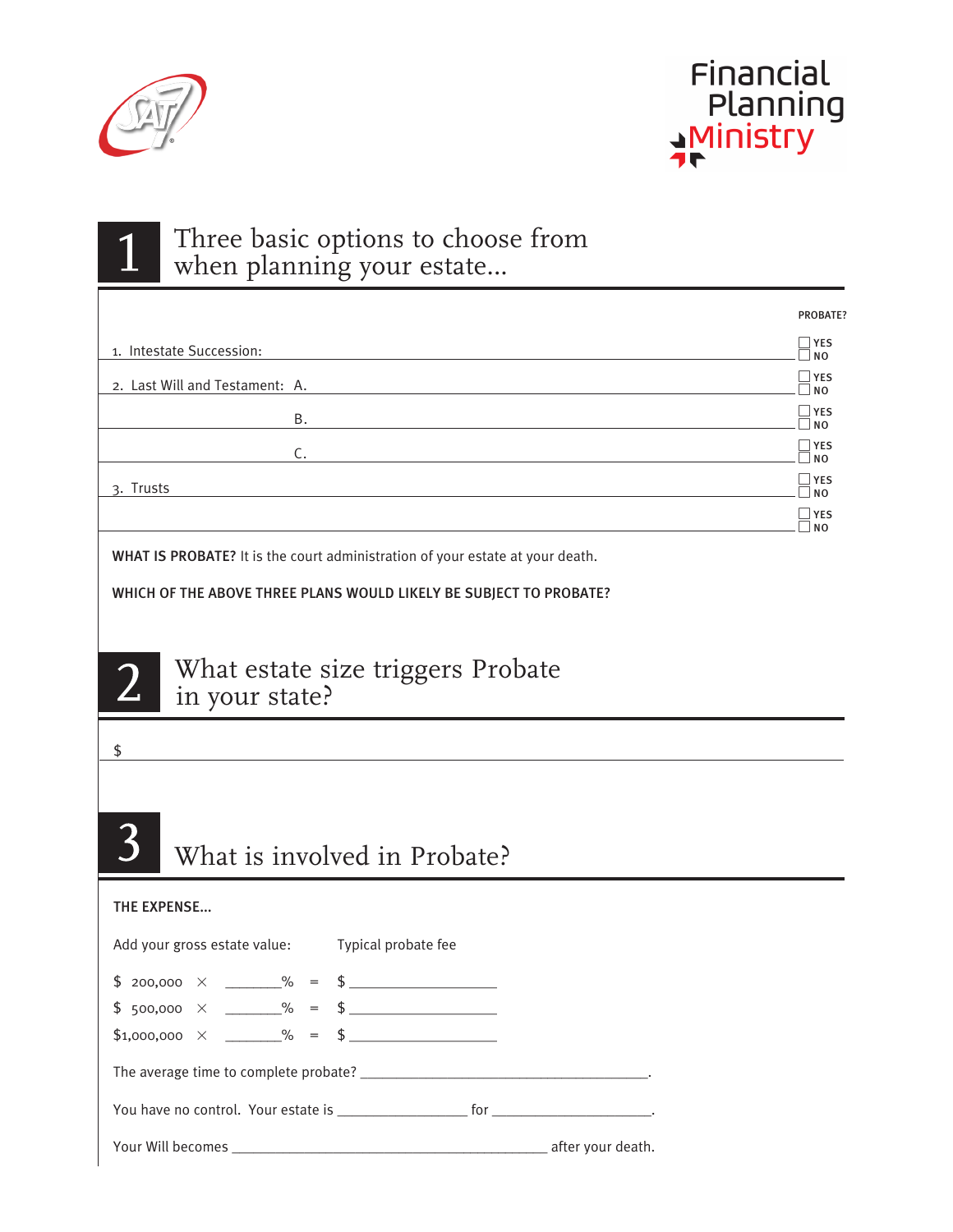

 $\mathbb{1}$ 



PROBATE? 

## Three basic options to choose from when planning your estate…

| 1. Intestate Succession:       | $\Box$ YES<br>$\Box$ NO      |
|--------------------------------|------------------------------|
| 2. Last Will and Testament: A. | $\Box$ YES<br>$\neg$ NO      |
| Β.                             | $\Box$ YES<br>$\Box$ NO      |
| C.                             | $\Box$ YES<br>$\Box$ NO      |
| 3. Trusts                      | $\Box$ YES<br>$\neg$ NO      |
|                                | $\Box$ YES<br>N <sub>O</sub> |
|                                |                              |

WHAT IS PROBATE? It is the court administration of your estate at your death.

WHICH OF THE ABOVE THREE PLANS WOULD LIKELY BE SUBJECT TO PROBATE?



What estate size triggers Probate in your state?

#### \$

# What is involved in Probate?

#### THE EXPENSE...

| Add your gross estate value: Typical probate fee |  |
|--------------------------------------------------|--|
| $$ 200,000 \times ]\qquad\% = $ \_$              |  |
| $$ 500,000 \times \_\_\_\% = $ 5$                |  |
|                                                  |  |
|                                                  |  |
|                                                  |  |
|                                                  |  |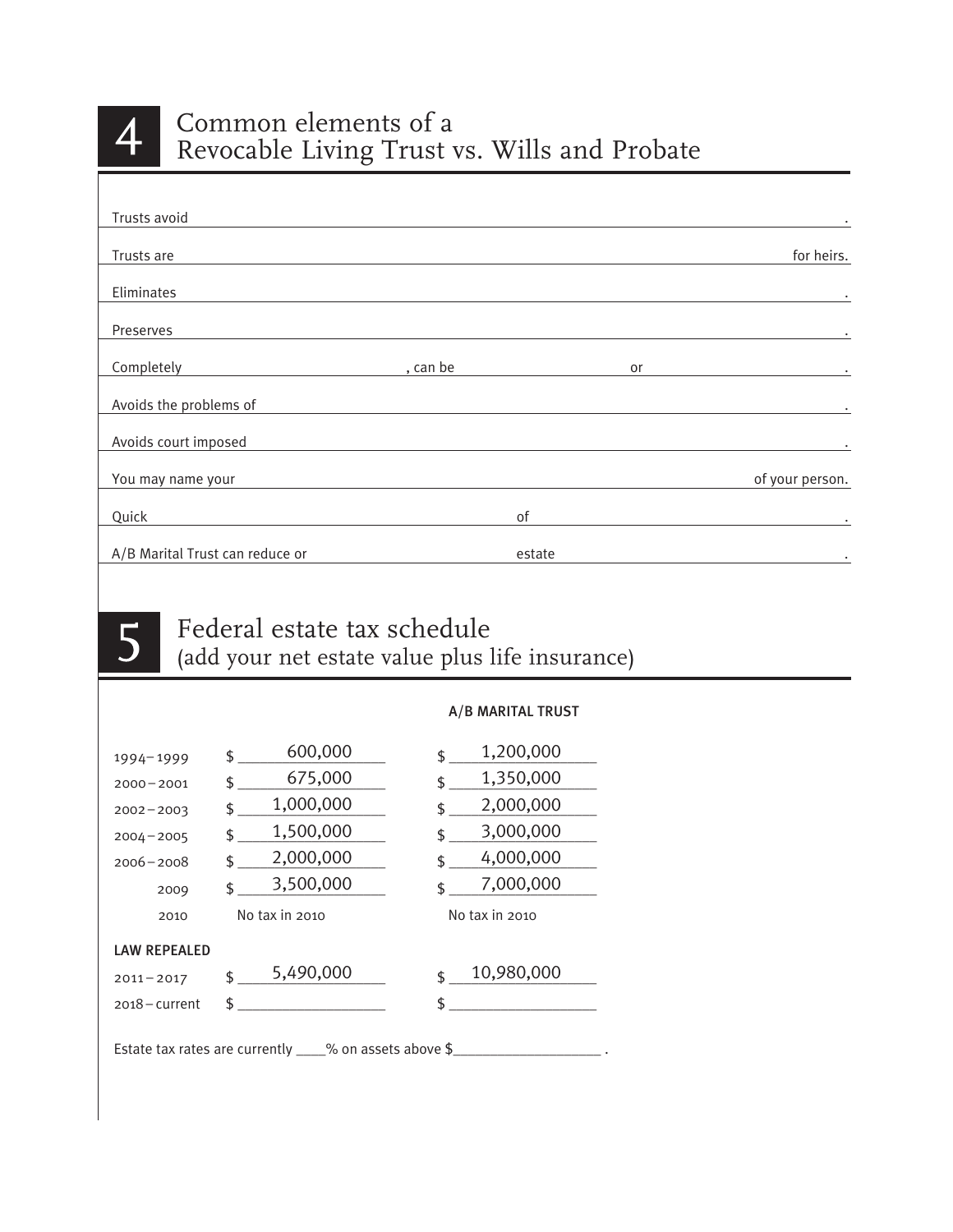

| Trusts avoid                    |          |        |    |                 |
|---------------------------------|----------|--------|----|-----------------|
| Trusts are                      |          |        |    | for heirs.      |
| Eliminates                      |          |        |    |                 |
| Preserves                       |          |        |    |                 |
| Completely                      | , can be |        | or |                 |
| Avoids the problems of          |          |        |    | ٠               |
| Avoids court imposed            |          |        |    |                 |
| You may name your               |          |        |    | of your person. |
| Quick                           |          | οf     |    |                 |
| A/B Marital Trust can reduce or |          | estate |    | $\bullet$       |



### Federal estate tax schedule (add your net estate value plus life insurance)

#### A/B MARITAL TRUST

| 1994-1999           | 600,000<br>\$                                              | 1,200,000<br>\$ |
|---------------------|------------------------------------------------------------|-----------------|
| $2000 - 2001$       | 675,000<br>\$                                              | 1,350,000<br>\$ |
| $2002 - 2003$       | 1,000,000<br>\$                                            | 2,000,000<br>\$ |
| $2004 - 2005$       | 1,500,000<br>\$                                            | 3,000,000<br>\$ |
| $2006 - 2008$       | 2,000,000<br>ፍ                                             | 4,000,000<br>\$ |
| 2009                | 3,500,000<br>ፍ                                             | 7,000,000<br>ፍ  |
| 2010                | No tax in 2010                                             | No tax in 2010  |
| <b>LAW REPEALED</b> |                                                            |                 |
| $2011 - 2017$       | 5,490,000<br>\$                                            | 10,980,000<br>ፍ |
| $2018 -$ current    | \$                                                         |                 |
|                     | Estate tax rates are currently $\_\_\%$ on assets above \$ |                 |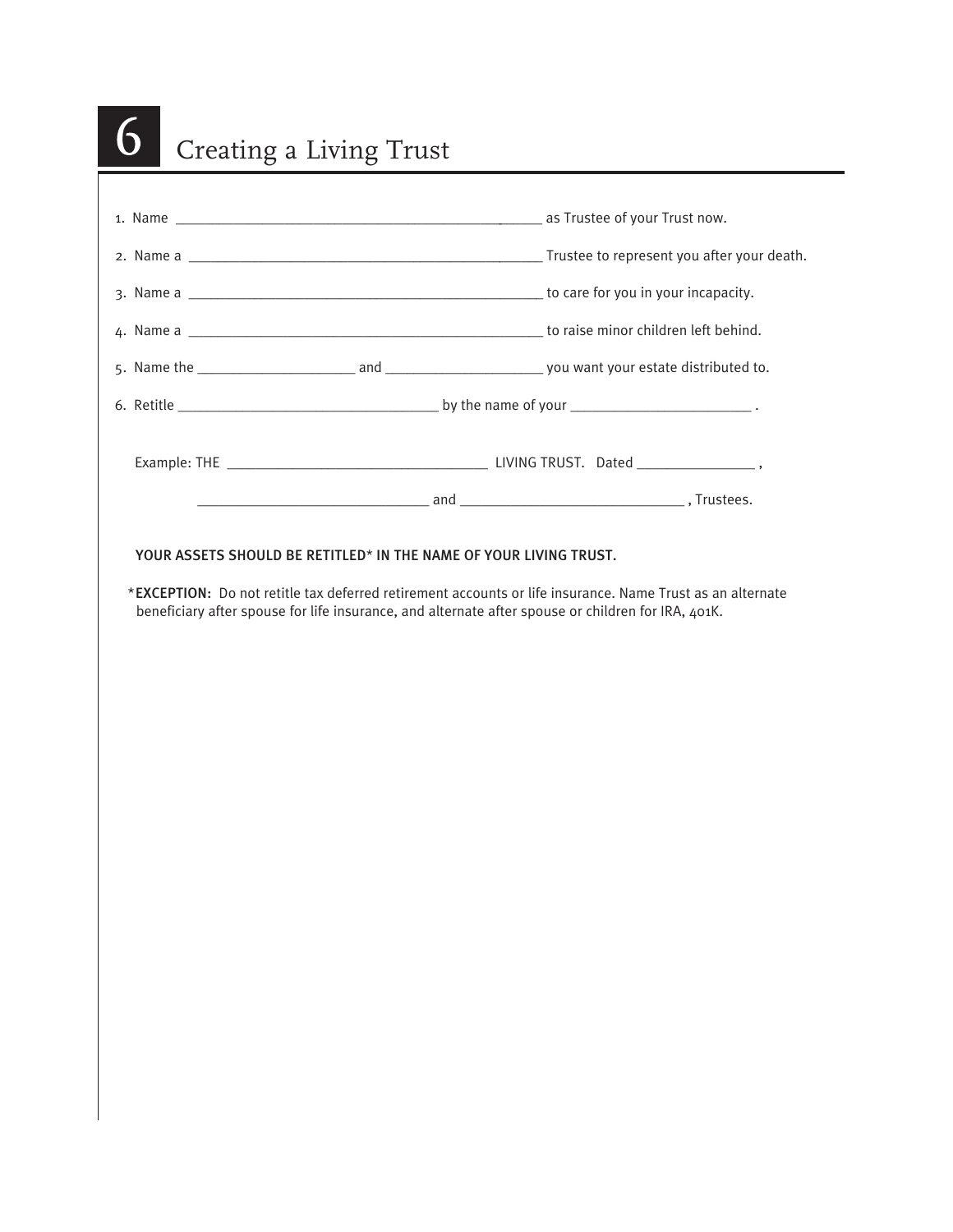| Creating a Living Trust |  |
|-------------------------|--|
|                         |  |
|                         |  |
|                         |  |
|                         |  |
|                         |  |
|                         |  |
|                         |  |
|                         |  |
|                         |  |
|                         |  |
|                         |  |
|                         |  |
|                         |  |
|                         |  |
|                         |  |
|                         |  |
|                         |  |
|                         |  |
|                         |  |
|                         |  |
|                         |  |